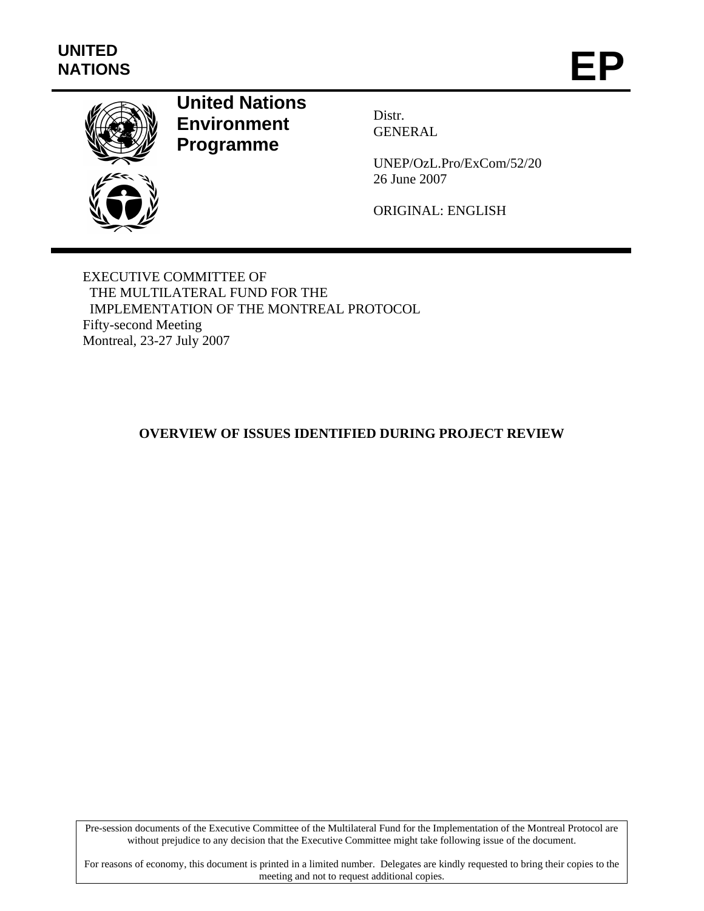

# **United Nations Environment Programme**

Distr. GENERAL

UNEP/OzL.Pro/ExCom/52/20 26 June 2007

ORIGINAL: ENGLISH

EXECUTIVE COMMITTEE OF THE MULTILATERAL FUND FOR THE IMPLEMENTATION OF THE MONTREAL PROTOCOL Fifty-second Meeting Montreal, 23-27 July 2007

# **OVERVIEW OF ISSUES IDENTIFIED DURING PROJECT REVIEW**

Pre-session documents of the Executive Committee of the Multilateral Fund for the Implementation of the Montreal Protocol are without prejudice to any decision that the Executive Committee might take following issue of the document.

For reasons of economy, this document is printed in a limited number. Delegates are kindly requested to bring their copies to the meeting and not to request additional copies.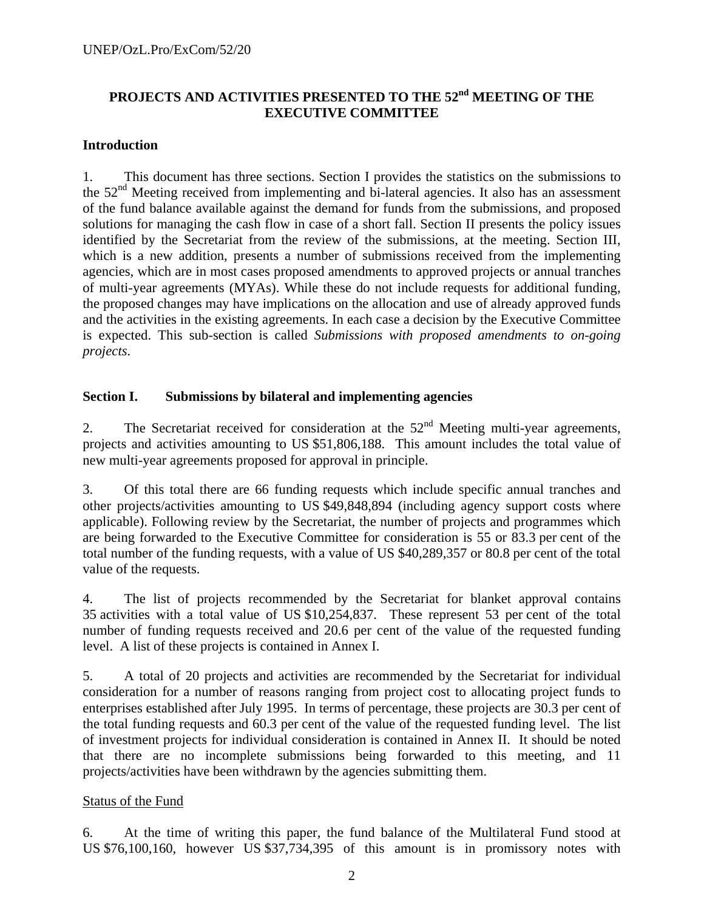# **PROJECTS AND ACTIVITIES PRESENTED TO THE 52nd MEETING OF THE EXECUTIVE COMMITTEE**

#### **Introduction**

1. This document has three sections. Section I provides the statistics on the submissions to the 52<sup>nd</sup> Meeting received from implementing and bi-lateral agencies. It also has an assessment of the fund balance available against the demand for funds from the submissions, and proposed solutions for managing the cash flow in case of a short fall. Section II presents the policy issues identified by the Secretariat from the review of the submissions, at the meeting. Section III, which is a new addition, presents a number of submissions received from the implementing agencies, which are in most cases proposed amendments to approved projects or annual tranches of multi-year agreements (MYAs). While these do not include requests for additional funding, the proposed changes may have implications on the allocation and use of already approved funds and the activities in the existing agreements. In each case a decision by the Executive Committee is expected. This sub-section is called *Submissions with proposed amendments to on-going projects*.

#### **Section I. Submissions by bilateral and implementing agencies**

2. The Secretariat received for consideration at the  $52<sup>nd</sup>$  Meeting multi-year agreements, projects and activities amounting to US \$51,806,188. This amount includes the total value of new multi-year agreements proposed for approval in principle.

3. Of this total there are 66 funding requests which include specific annual tranches and other projects/activities amounting to US \$49,848,894 (including agency support costs where applicable). Following review by the Secretariat, the number of projects and programmes which are being forwarded to the Executive Committee for consideration is 55 or 83.3 per cent of the total number of the funding requests, with a value of US \$40,289,357 or 80.8 per cent of the total value of the requests.

4. The list of projects recommended by the Secretariat for blanket approval contains 35 activities with a total value of US \$10,254,837. These represent 53 per cent of the total number of funding requests received and 20.6 per cent of the value of the requested funding level. A list of these projects is contained in Annex I.

5. A total of 20 projects and activities are recommended by the Secretariat for individual consideration for a number of reasons ranging from project cost to allocating project funds to enterprises established after July 1995. In terms of percentage, these projects are 30.3 per cent of the total funding requests and 60.3 per cent of the value of the requested funding level. The list of investment projects for individual consideration is contained in Annex II. It should be noted that there are no incomplete submissions being forwarded to this meeting, and 11 projects/activities have been withdrawn by the agencies submitting them.

#### Status of the Fund

6. At the time of writing this paper, the fund balance of the Multilateral Fund stood at US \$76,100,160, however US \$37,734,395 of this amount is in promissory notes with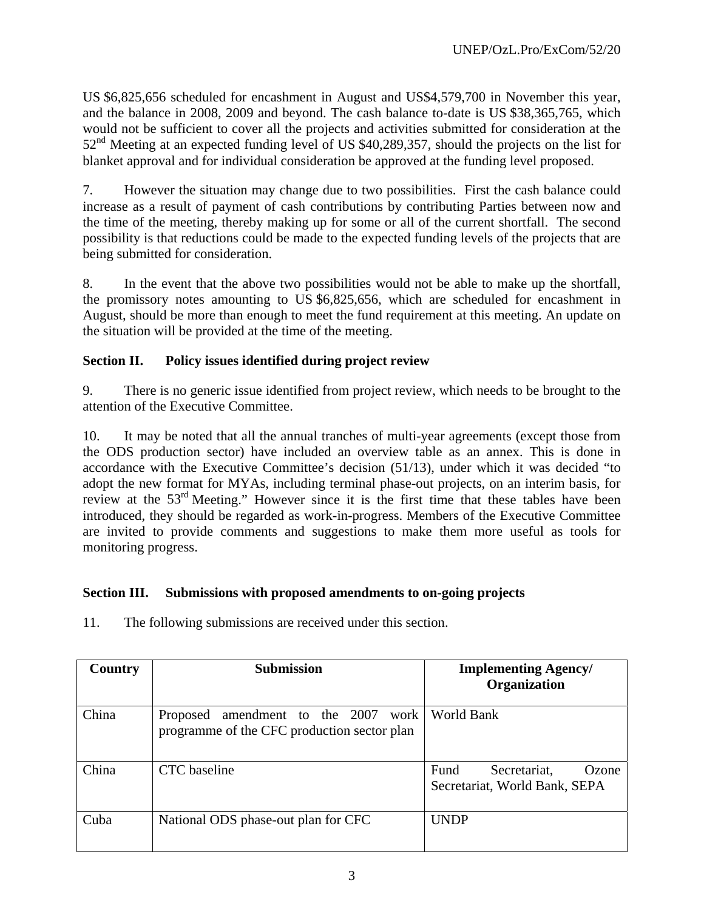US \$6,825,656 scheduled for encashment in August and US\$4,579,700 in November this year, and the balance in 2008, 2009 and beyond. The cash balance to-date is US \$38,365,765, which would not be sufficient to cover all the projects and activities submitted for consideration at the 52<sup>nd</sup> Meeting at an expected funding level of US \$40,289,357, should the projects on the list for blanket approval and for individual consideration be approved at the funding level proposed.

7. However the situation may change due to two possibilities. First the cash balance could increase as a result of payment of cash contributions by contributing Parties between now and the time of the meeting, thereby making up for some or all of the current shortfall. The second possibility is that reductions could be made to the expected funding levels of the projects that are being submitted for consideration.

8. In the event that the above two possibilities would not be able to make up the shortfall, the promissory notes amounting to US \$6,825,656, which are scheduled for encashment in August, should be more than enough to meet the fund requirement at this meeting. An update on the situation will be provided at the time of the meeting.

# **Section II. Policy issues identified during project review**

9. There is no generic issue identified from project review, which needs to be brought to the attention of the Executive Committee.

10. It may be noted that all the annual tranches of multi-year agreements (except those from the ODS production sector) have included an overview table as an annex. This is done in accordance with the Executive Committee's decision (51/13), under which it was decided "to adopt the new format for MYAs, including terminal phase-out projects, on an interim basis, for review at the 53<sup>rd</sup> Meeting." However since it is the first time that these tables have been introduced, they should be regarded as work-in-progress. Members of the Executive Committee are invited to provide comments and suggestions to make them more useful as tools for monitoring progress.

## **Section III. Submissions with proposed amendments to on-going projects**

11. The following submissions are received under this section.

| Country | <b>Submission</b>                                                                     | <b>Implementing Agency/</b><br><b>Organization</b>                    |
|---------|---------------------------------------------------------------------------------------|-----------------------------------------------------------------------|
| China   | Proposed amendment to the 2007<br>work<br>programme of the CFC production sector plan | World Bank                                                            |
| China   | CTC baseline                                                                          | <b>Fund</b><br>Secretariat,<br>Ozone<br>Secretariat, World Bank, SEPA |
| Cuba    | National ODS phase-out plan for CFC                                                   | <b>UNDP</b>                                                           |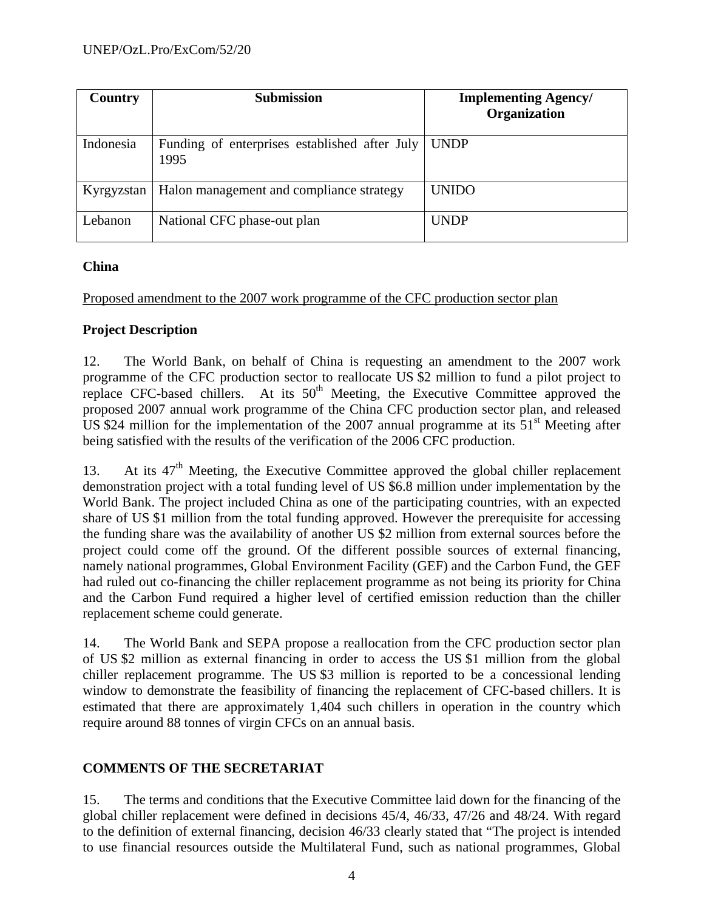| Country    | <b>Submission</b>                                       | <b>Implementing Agency/</b><br>Organization |
|------------|---------------------------------------------------------|---------------------------------------------|
| Indonesia  | Funding of enterprises established after July  <br>1995 | UNDP                                        |
| Kyrgyzstan | Halon management and compliance strategy                | <b>UNIDO</b>                                |
| Lebanon    | National CFC phase-out plan                             | <b>UNDP</b>                                 |

## **China**

Proposed amendment to the 2007 work programme of the CFC production sector plan

## **Project Description**

12. The World Bank, on behalf of China is requesting an amendment to the 2007 work programme of the CFC production sector to reallocate US \$2 million to fund a pilot project to replace CFC-based chillers. At its  $50<sup>th</sup>$  Meeting, the Executive Committee approved the proposed 2007 annual work programme of the China CFC production sector plan, and released US \$24 million for the implementation of the 2007 annual programme at its  $51<sup>st</sup>$  Meeting after being satisfied with the results of the verification of the 2006 CFC production.

13. At its  $47<sup>th</sup>$  Meeting, the Executive Committee approved the global chiller replacement demonstration project with a total funding level of US \$6.8 million under implementation by the World Bank. The project included China as one of the participating countries, with an expected share of US \$1 million from the total funding approved. However the prerequisite for accessing the funding share was the availability of another US \$2 million from external sources before the project could come off the ground. Of the different possible sources of external financing, namely national programmes, Global Environment Facility (GEF) and the Carbon Fund, the GEF had ruled out co-financing the chiller replacement programme as not being its priority for China and the Carbon Fund required a higher level of certified emission reduction than the chiller replacement scheme could generate.

14. The World Bank and SEPA propose a reallocation from the CFC production sector plan of US \$2 million as external financing in order to access the US \$1 million from the global chiller replacement programme. The US \$3 million is reported to be a concessional lending window to demonstrate the feasibility of financing the replacement of CFC-based chillers. It is estimated that there are approximately 1,404 such chillers in operation in the country which require around 88 tonnes of virgin CFCs on an annual basis.

# **COMMENTS OF THE SECRETARIAT**

15. The terms and conditions that the Executive Committee laid down for the financing of the global chiller replacement were defined in decisions 45/4, 46/33, 47/26 and 48/24. With regard to the definition of external financing, decision 46/33 clearly stated that "The project is intended to use financial resources outside the Multilateral Fund, such as national programmes, Global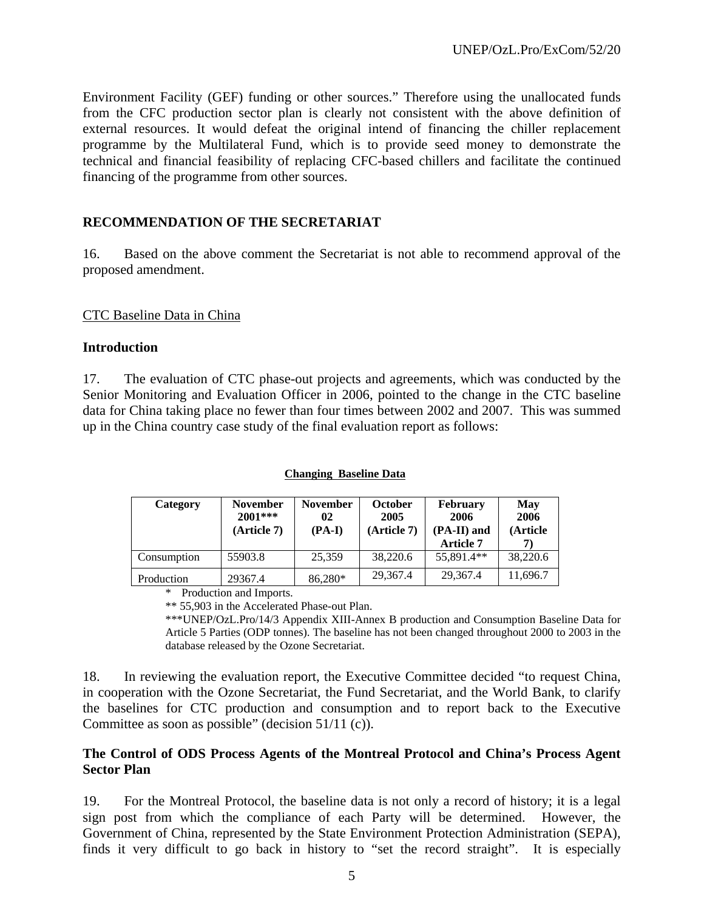Environment Facility (GEF) funding or other sources." Therefore using the unallocated funds from the CFC production sector plan is clearly not consistent with the above definition of external resources. It would defeat the original intend of financing the chiller replacement programme by the Multilateral Fund, which is to provide seed money to demonstrate the technical and financial feasibility of replacing CFC-based chillers and facilitate the continued financing of the programme from other sources.

## **RECOMMENDATION OF THE SECRETARIAT**

16. Based on the above comment the Secretariat is not able to recommend approval of the proposed amendment.

#### CTC Baseline Data in China

#### **Introduction**

17. The evaluation of CTC phase-out projects and agreements, which was conducted by the Senior Monitoring and Evaluation Officer in 2006, pointed to the change in the CTC baseline data for China taking place no fewer than four times between 2002 and 2007. This was summed up in the China country case study of the final evaluation report as follows:

#### **Changing Baseline Data**

| Category                  | <b>November</b><br>$2001***$<br>(Article 7) | <b>November</b><br>02<br>$(PA-I)$ | <b>October</b><br>2005<br>(Article 7) | <b>February</b><br>2006<br>(PA-II) and<br><b>Article 7</b> | May<br>2006<br>(Article |
|---------------------------|---------------------------------------------|-----------------------------------|---------------------------------------|------------------------------------------------------------|-------------------------|
| Consumption               | 55903.8                                     | 25,359                            | 38,220.6                              | 55.891.4**                                                 | 38,220.6                |
| Production                | 29367.4                                     | 86,280*                           | 29,367.4                              | 29,367.4                                                   | 11,696.7                |
| $\mathbf{a}$ $\mathbf{b}$ | $\mathbf{1}$                                |                                   |                                       |                                                            |                         |

\* Production and Imports.

\*\* 55,903 in the Accelerated Phase-out Plan.

\*\*\*UNEP/OzL.Pro/14/3 Appendix XIII-Annex B production and Consumption Baseline Data for Article 5 Parties (ODP tonnes). The baseline has not been changed throughout 2000 to 2003 in the database released by the Ozone Secretariat.

18. In reviewing the evaluation report, the Executive Committee decided "to request China, in cooperation with the Ozone Secretariat, the Fund Secretariat, and the World Bank, to clarify the baselines for CTC production and consumption and to report back to the Executive Committee as soon as possible" (decision 51/11 (c)).

## **The Control of ODS Process Agents of the Montreal Protocol and China's Process Agent Sector Plan**

19. For the Montreal Protocol, the baseline data is not only a record of history; it is a legal sign post from which the compliance of each Party will be determined. However, the Government of China, represented by the State Environment Protection Administration (SEPA), finds it very difficult to go back in history to "set the record straight". It is especially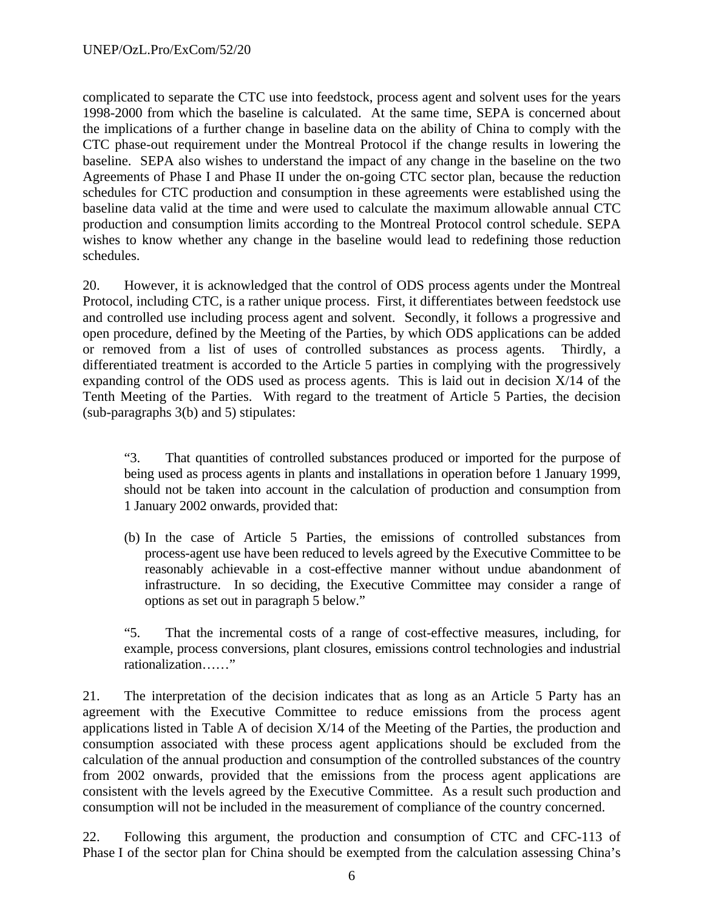complicated to separate the CTC use into feedstock, process agent and solvent uses for the years 1998-2000 from which the baseline is calculated. At the same time, SEPA is concerned about the implications of a further change in baseline data on the ability of China to comply with the CTC phase-out requirement under the Montreal Protocol if the change results in lowering the baseline. SEPA also wishes to understand the impact of any change in the baseline on the two Agreements of Phase I and Phase II under the on-going CTC sector plan, because the reduction schedules for CTC production and consumption in these agreements were established using the baseline data valid at the time and were used to calculate the maximum allowable annual CTC production and consumption limits according to the Montreal Protocol control schedule. SEPA wishes to know whether any change in the baseline would lead to redefining those reduction schedules.

20. However, it is acknowledged that the control of ODS process agents under the Montreal Protocol, including CTC, is a rather unique process. First, it differentiates between feedstock use and controlled use including process agent and solvent. Secondly, it follows a progressive and open procedure, defined by the Meeting of the Parties, by which ODS applications can be added or removed from a list of uses of controlled substances as process agents. Thirdly, a differentiated treatment is accorded to the Article 5 parties in complying with the progressively expanding control of the ODS used as process agents. This is laid out in decision X/14 of the Tenth Meeting of the Parties. With regard to the treatment of Article 5 Parties, the decision (sub-paragraphs 3(b) and 5) stipulates:

 "3. That quantities of controlled substances produced or imported for the purpose of being used as process agents in plants and installations in operation before 1 January 1999, should not be taken into account in the calculation of production and consumption from 1 January 2002 onwards, provided that:

(b) In the case of Article 5 Parties, the emissions of controlled substances from process-agent use have been reduced to levels agreed by the Executive Committee to be reasonably achievable in a cost-effective manner without undue abandonment of infrastructure. In so deciding, the Executive Committee may consider a range of options as set out in paragraph 5 below."

"5. That the incremental costs of a range of cost-effective measures, including, for example, process conversions, plant closures, emissions control technologies and industrial rationalization……"

21. The interpretation of the decision indicates that as long as an Article 5 Party has an agreement with the Executive Committee to reduce emissions from the process agent applications listed in Table A of decision X/14 of the Meeting of the Parties, the production and consumption associated with these process agent applications should be excluded from the calculation of the annual production and consumption of the controlled substances of the country from 2002 onwards, provided that the emissions from the process agent applications are consistent with the levels agreed by the Executive Committee. As a result such production and consumption will not be included in the measurement of compliance of the country concerned.

22. Following this argument, the production and consumption of CTC and CFC-113 of Phase I of the sector plan for China should be exempted from the calculation assessing China's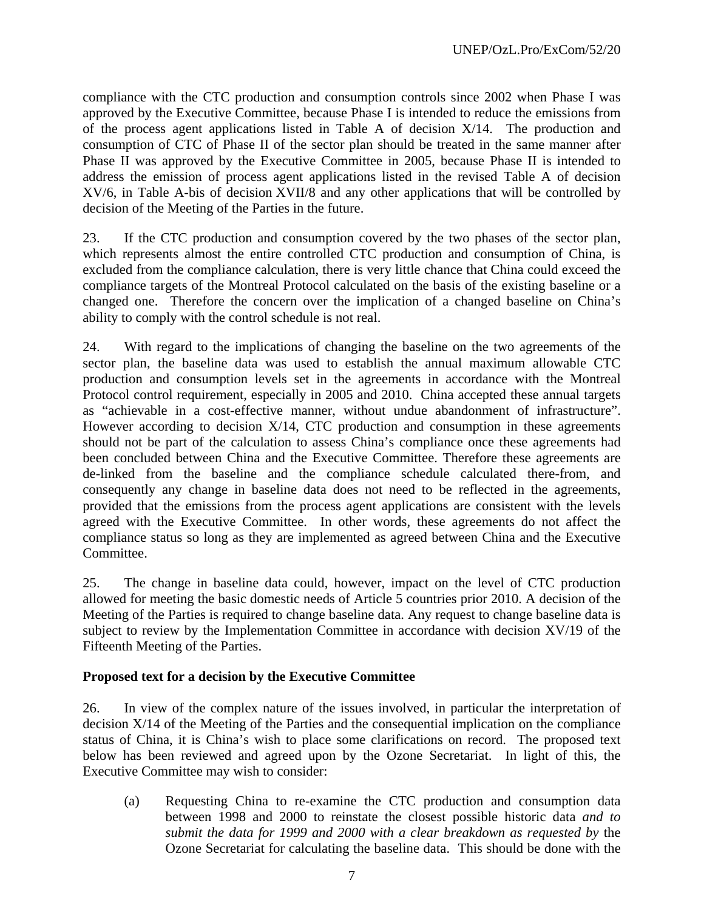compliance with the CTC production and consumption controls since 2002 when Phase I was approved by the Executive Committee, because Phase I is intended to reduce the emissions from of the process agent applications listed in Table A of decision X/14. The production and consumption of CTC of Phase II of the sector plan should be treated in the same manner after Phase II was approved by the Executive Committee in 2005, because Phase II is intended to address the emission of process agent applications listed in the revised Table A of decision XV/6, in Table A-bis of decision XVII/8 and any other applications that will be controlled by decision of the Meeting of the Parties in the future.

23. If the CTC production and consumption covered by the two phases of the sector plan, which represents almost the entire controlled CTC production and consumption of China, is excluded from the compliance calculation, there is very little chance that China could exceed the compliance targets of the Montreal Protocol calculated on the basis of the existing baseline or a changed one. Therefore the concern over the implication of a changed baseline on China's ability to comply with the control schedule is not real.

24. With regard to the implications of changing the baseline on the two agreements of the sector plan, the baseline data was used to establish the annual maximum allowable CTC production and consumption levels set in the agreements in accordance with the Montreal Protocol control requirement, especially in 2005 and 2010. China accepted these annual targets as "achievable in a cost-effective manner, without undue abandonment of infrastructure". However according to decision X/14, CTC production and consumption in these agreements should not be part of the calculation to assess China's compliance once these agreements had been concluded between China and the Executive Committee. Therefore these agreements are de-linked from the baseline and the compliance schedule calculated there-from, and consequently any change in baseline data does not need to be reflected in the agreements, provided that the emissions from the process agent applications are consistent with the levels agreed with the Executive Committee. In other words, these agreements do not affect the compliance status so long as they are implemented as agreed between China and the Executive Committee.

25. The change in baseline data could, however, impact on the level of CTC production allowed for meeting the basic domestic needs of Article 5 countries prior 2010. A decision of the Meeting of the Parties is required to change baseline data. Any request to change baseline data is subject to review by the Implementation Committee in accordance with decision XV/19 of the Fifteenth Meeting of the Parties.

#### **Proposed text for a decision by the Executive Committee**

26. In view of the complex nature of the issues involved, in particular the interpretation of decision X/14 of the Meeting of the Parties and the consequential implication on the compliance status of China, it is China's wish to place some clarifications on record. The proposed text below has been reviewed and agreed upon by the Ozone Secretariat. In light of this, the Executive Committee may wish to consider:

(a) Requesting China to re-examine the CTC production and consumption data between 1998 and 2000 to reinstate the closest possible historic data *and to submit the data for 1999 and 2000 with a clear breakdown as requested by* the Ozone Secretariat for calculating the baseline data. This should be done with the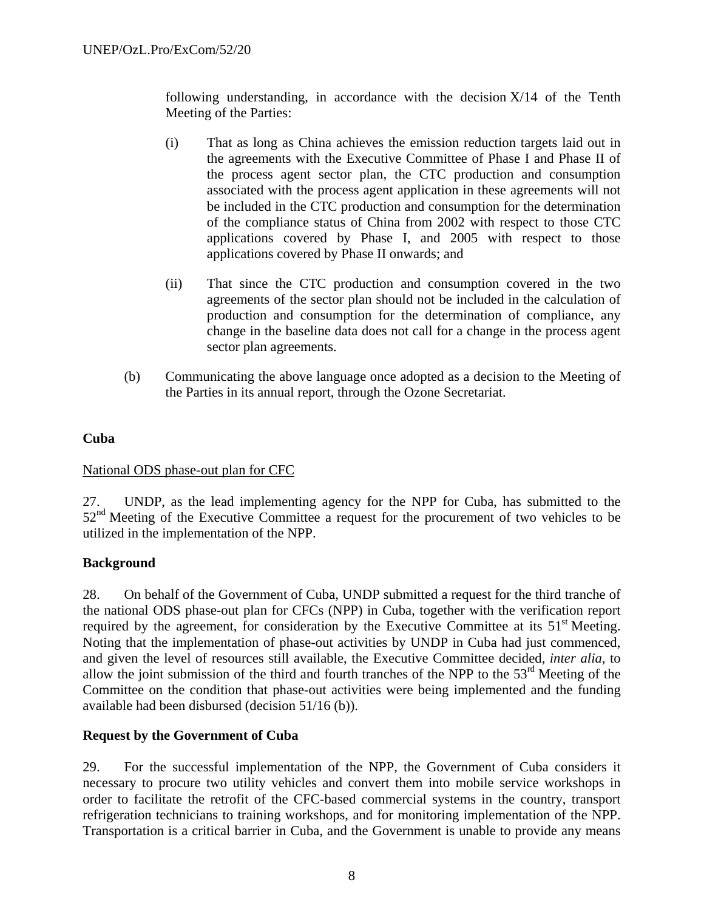following understanding, in accordance with the decision  $X/14$  of the Tenth Meeting of the Parties:

- (i) That as long as China achieves the emission reduction targets laid out in the agreements with the Executive Committee of Phase I and Phase II of the process agent sector plan, the CTC production and consumption associated with the process agent application in these agreements will not be included in the CTC production and consumption for the determination of the compliance status of China from 2002 with respect to those CTC applications covered by Phase I, and 2005 with respect to those applications covered by Phase II onwards; and
- (ii) That since the CTC production and consumption covered in the two agreements of the sector plan should not be included in the calculation of production and consumption for the determination of compliance, any change in the baseline data does not call for a change in the process agent sector plan agreements.
- (b) Communicating the above language once adopted as a decision to the Meeting of the Parties in its annual report, through the Ozone Secretariat.

#### **Cuba**

#### National ODS phase-out plan for CFC

27. UNDP, as the lead implementing agency for the NPP for Cuba, has submitted to the 52<sup>nd</sup> Meeting of the Executive Committee a request for the procurement of two vehicles to be utilized in the implementation of the NPP.

#### **Background**

28. On behalf of the Government of Cuba, UNDP submitted a request for the third tranche of the national ODS phase-out plan for CFCs (NPP) in Cuba, together with the verification report required by the agreement, for consideration by the Executive Committee at its  $51<sup>st</sup>$  Meeting. Noting that the implementation of phase-out activities by UNDP in Cuba had just commenced, and given the level of resources still available, the Executive Committee decided, *inter alia*, to allow the joint submission of the third and fourth tranches of the NPP to the  $53<sup>rd</sup>$  Meeting of the Committee on the condition that phase-out activities were being implemented and the funding available had been disbursed (decision 51/16 (b)).

#### **Request by the Government of Cuba**

29. For the successful implementation of the NPP, the Government of Cuba considers it necessary to procure two utility vehicles and convert them into mobile service workshops in order to facilitate the retrofit of the CFC-based commercial systems in the country, transport refrigeration technicians to training workshops, and for monitoring implementation of the NPP. Transportation is a critical barrier in Cuba, and the Government is unable to provide any means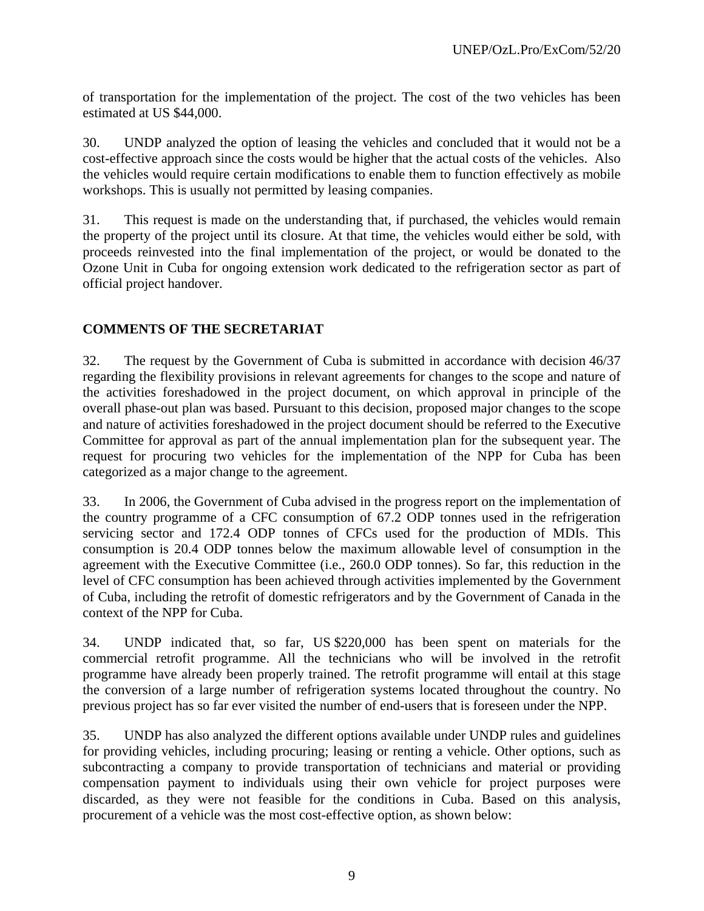of transportation for the implementation of the project. The cost of the two vehicles has been estimated at US \$44,000.

30. UNDP analyzed the option of leasing the vehicles and concluded that it would not be a cost-effective approach since the costs would be higher that the actual costs of the vehicles. Also the vehicles would require certain modifications to enable them to function effectively as mobile workshops. This is usually not permitted by leasing companies.

31. This request is made on the understanding that, if purchased, the vehicles would remain the property of the project until its closure. At that time, the vehicles would either be sold, with proceeds reinvested into the final implementation of the project, or would be donated to the Ozone Unit in Cuba for ongoing extension work dedicated to the refrigeration sector as part of official project handover.

## **COMMENTS OF THE SECRETARIAT**

32. The request by the Government of Cuba is submitted in accordance with decision 46/37 regarding the flexibility provisions in relevant agreements for changes to the scope and nature of the activities foreshadowed in the project document, on which approval in principle of the overall phase-out plan was based. Pursuant to this decision, proposed major changes to the scope and nature of activities foreshadowed in the project document should be referred to the Executive Committee for approval as part of the annual implementation plan for the subsequent year. The request for procuring two vehicles for the implementation of the NPP for Cuba has been categorized as a major change to the agreement.

33. In 2006, the Government of Cuba advised in the progress report on the implementation of the country programme of a CFC consumption of 67.2 ODP tonnes used in the refrigeration servicing sector and 172.4 ODP tonnes of CFCs used for the production of MDIs. This consumption is 20.4 ODP tonnes below the maximum allowable level of consumption in the agreement with the Executive Committee (i.e., 260.0 ODP tonnes). So far, this reduction in the level of CFC consumption has been achieved through activities implemented by the Government of Cuba, including the retrofit of domestic refrigerators and by the Government of Canada in the context of the NPP for Cuba.

34. UNDP indicated that, so far, US \$220,000 has been spent on materials for the commercial retrofit programme. All the technicians who will be involved in the retrofit programme have already been properly trained. The retrofit programme will entail at this stage the conversion of a large number of refrigeration systems located throughout the country. No previous project has so far ever visited the number of end-users that is foreseen under the NPP.

35. UNDP has also analyzed the different options available under UNDP rules and guidelines for providing vehicles, including procuring; leasing or renting a vehicle. Other options, such as subcontracting a company to provide transportation of technicians and material or providing compensation payment to individuals using their own vehicle for project purposes were discarded, as they were not feasible for the conditions in Cuba. Based on this analysis, procurement of a vehicle was the most cost-effective option, as shown below: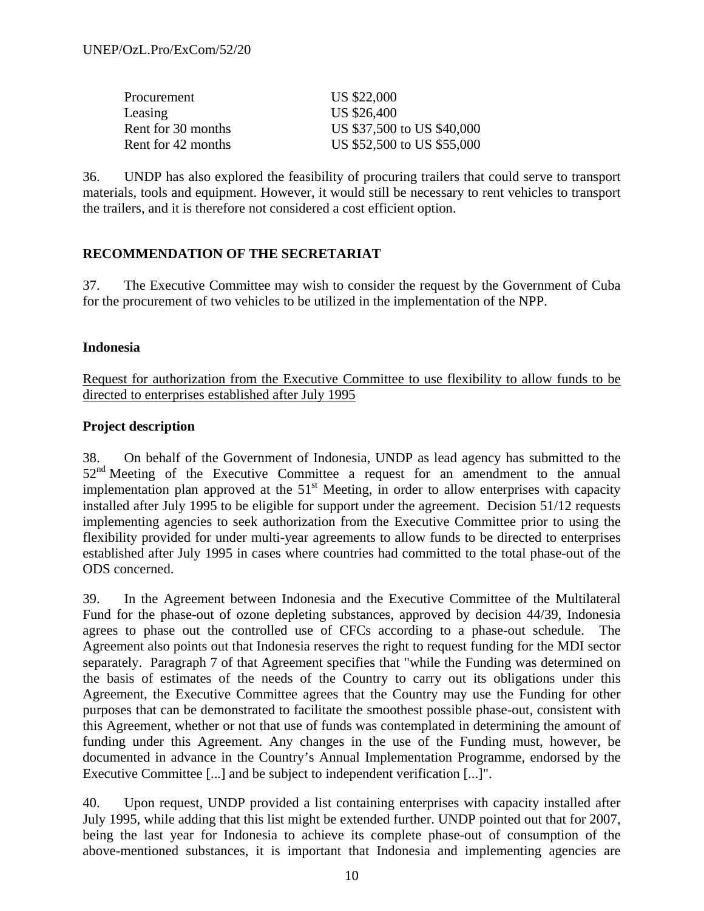| Procurement        | US \$22,000                |
|--------------------|----------------------------|
| Leasing            | US \$26,400                |
| Rent for 30 months | US \$37,500 to US \$40,000 |
| Rent for 42 months | US \$52,500 to US \$55,000 |

36. UNDP has also explored the feasibility of procuring trailers that could serve to transport materials, tools and equipment. However, it would still be necessary to rent vehicles to transport the trailers, and it is therefore not considered a cost efficient option.

## **RECOMMENDATION OF THE SECRETARIAT**

37. The Executive Committee may wish to consider the request by the Government of Cuba for the procurement of two vehicles to be utilized in the implementation of the NPP.

#### **Indonesia**

Request for authorization from the Executive Committee to use flexibility to allow funds to be directed to enterprises established after July 1995

## **Project description**

38. On behalf of the Government of Indonesia, UNDP as lead agency has submitted to the 52<sup>nd</sup> Meeting of the Executive Committee a request for an amendment to the annual implementation plan approved at the  $51<sup>st</sup>$  Meeting, in order to allow enterprises with capacity installed after July 1995 to be eligible for support under the agreement. Decision 51/12 requests implementing agencies to seek authorization from the Executive Committee prior to using the flexibility provided for under multi-year agreements to allow funds to be directed to enterprises established after July 1995 in cases where countries had committed to the total phase-out of the ODS concerned.

39. In the Agreement between Indonesia and the Executive Committee of the Multilateral Fund for the phase-out of ozone depleting substances, approved by decision 44/39, Indonesia agrees to phase out the controlled use of CFCs according to a phase-out schedule. The Agreement also points out that Indonesia reserves the right to request funding for the MDI sector separately. Paragraph 7 of that Agreement specifies that "while the Funding was determined on the basis of estimates of the needs of the Country to carry out its obligations under this Agreement, the Executive Committee agrees that the Country may use the Funding for other purposes that can be demonstrated to facilitate the smoothest possible phase-out, consistent with this Agreement, whether or not that use of funds was contemplated in determining the amount of funding under this Agreement. Any changes in the use of the Funding must, however, be documented in advance in the Country's Annual Implementation Programme, endorsed by the Executive Committee [...] and be subject to independent verification [...]".

40. Upon request, UNDP provided a list containing enterprises with capacity installed after July 1995, while adding that this list might be extended further. UNDP pointed out that for 2007, being the last year for Indonesia to achieve its complete phase-out of consumption of the above-mentioned substances, it is important that Indonesia and implementing agencies are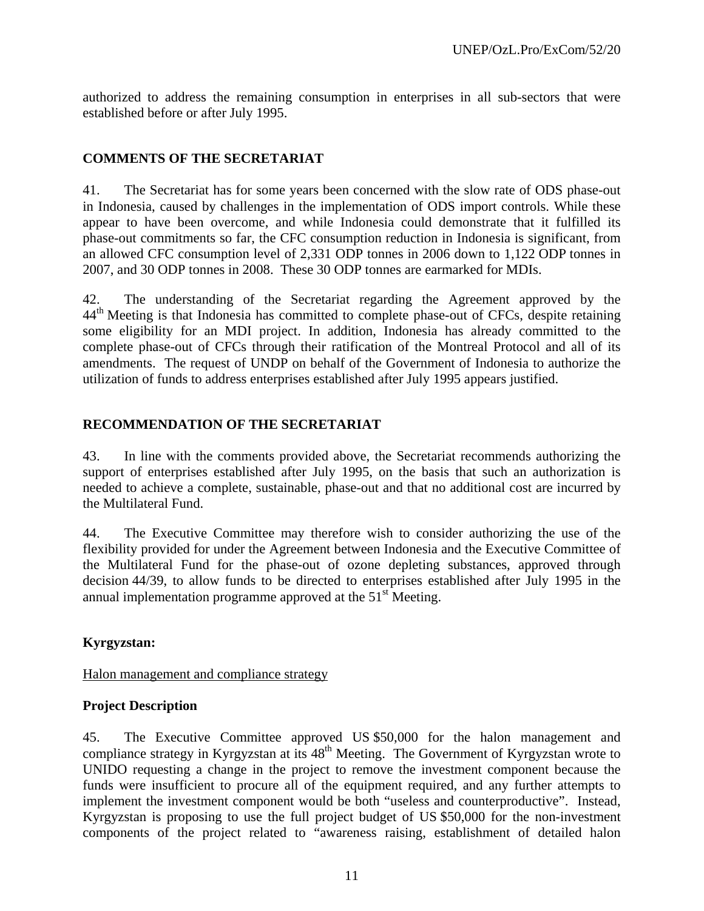authorized to address the remaining consumption in enterprises in all sub-sectors that were established before or after July 1995.

## **COMMENTS OF THE SECRETARIAT**

41. The Secretariat has for some years been concerned with the slow rate of ODS phase-out in Indonesia, caused by challenges in the implementation of ODS import controls. While these appear to have been overcome, and while Indonesia could demonstrate that it fulfilled its phase-out commitments so far, the CFC consumption reduction in Indonesia is significant, from an allowed CFC consumption level of 2,331 ODP tonnes in 2006 down to 1,122 ODP tonnes in 2007, and 30 ODP tonnes in 2008. These 30 ODP tonnes are earmarked for MDIs.

42. The understanding of the Secretariat regarding the Agreement approved by the 44<sup>th</sup> Meeting is that Indonesia has committed to complete phase-out of CFCs, despite retaining some eligibility for an MDI project. In addition, Indonesia has already committed to the complete phase-out of CFCs through their ratification of the Montreal Protocol and all of its amendments. The request of UNDP on behalf of the Government of Indonesia to authorize the utilization of funds to address enterprises established after July 1995 appears justified.

## **RECOMMENDATION OF THE SECRETARIAT**

43. In line with the comments provided above, the Secretariat recommends authorizing the support of enterprises established after July 1995, on the basis that such an authorization is needed to achieve a complete, sustainable, phase-out and that no additional cost are incurred by the Multilateral Fund.

44. The Executive Committee may therefore wish to consider authorizing the use of the flexibility provided for under the Agreement between Indonesia and the Executive Committee of the Multilateral Fund for the phase-out of ozone depleting substances, approved through decision 44/39, to allow funds to be directed to enterprises established after July 1995 in the annual implementation programme approved at the  $51<sup>st</sup>$  Meeting.

## **Kyrgyzstan:**

Halon management and compliance strategy

## **Project Description**

45. The Executive Committee approved US \$50,000 for the halon management and compliance strategy in Kyrgyzstan at its  $48<sup>th</sup>$  Meeting. The Government of Kyrgyzstan wrote to UNIDO requesting a change in the project to remove the investment component because the funds were insufficient to procure all of the equipment required, and any further attempts to implement the investment component would be both "useless and counterproductive". Instead, Kyrgyzstan is proposing to use the full project budget of US \$50,000 for the non-investment components of the project related to "awareness raising, establishment of detailed halon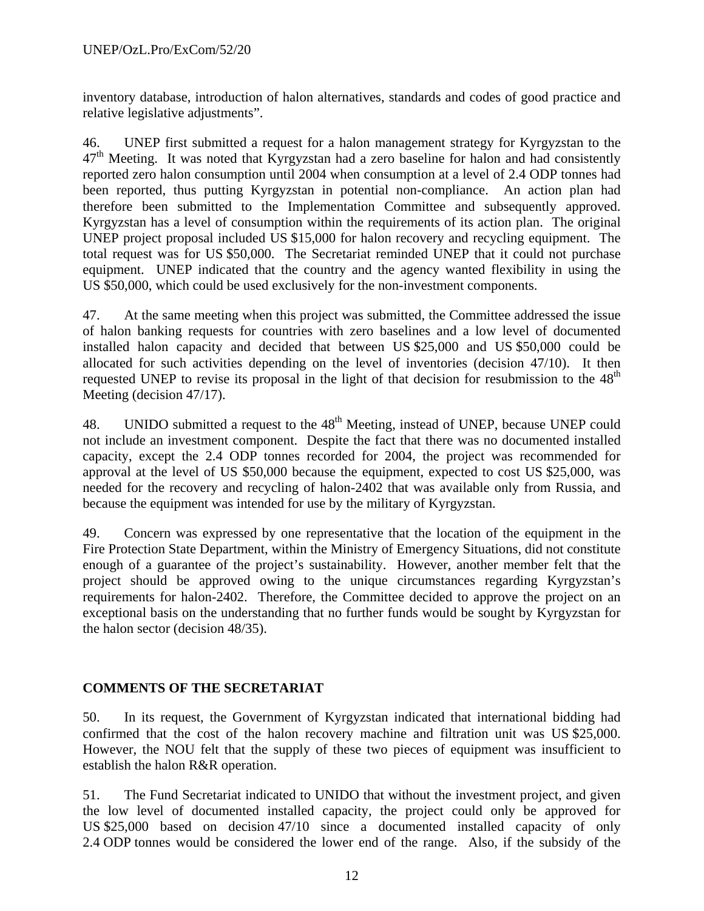inventory database, introduction of halon alternatives, standards and codes of good practice and relative legislative adjustments".

46. UNEP first submitted a request for a halon management strategy for Kyrgyzstan to the  $47<sup>th</sup>$  Meeting. It was noted that Kyrgyzstan had a zero baseline for halon and had consistently reported zero halon consumption until 2004 when consumption at a level of 2.4 ODP tonnes had been reported, thus putting Kyrgyzstan in potential non-compliance. An action plan had therefore been submitted to the Implementation Committee and subsequently approved. Kyrgyzstan has a level of consumption within the requirements of its action plan. The original UNEP project proposal included US \$15,000 for halon recovery and recycling equipment. The total request was for US \$50,000. The Secretariat reminded UNEP that it could not purchase equipment. UNEP indicated that the country and the agency wanted flexibility in using the US \$50,000, which could be used exclusively for the non-investment components.

47. At the same meeting when this project was submitted, the Committee addressed the issue of halon banking requests for countries with zero baselines and a low level of documented installed halon capacity and decided that between US \$25,000 and US \$50,000 could be allocated for such activities depending on the level of inventories (decision 47/10). It then requested UNEP to revise its proposal in the light of that decision for resubmission to the  $48<sup>th</sup>$ Meeting (decision 47/17).

48. UNIDO submitted a request to the 48<sup>th</sup> Meeting, instead of UNEP, because UNEP could not include an investment component. Despite the fact that there was no documented installed capacity, except the 2.4 ODP tonnes recorded for 2004, the project was recommended for approval at the level of US \$50,000 because the equipment, expected to cost US \$25,000, was needed for the recovery and recycling of halon-2402 that was available only from Russia, and because the equipment was intended for use by the military of Kyrgyzstan.

49. Concern was expressed by one representative that the location of the equipment in the Fire Protection State Department, within the Ministry of Emergency Situations, did not constitute enough of a guarantee of the project's sustainability. However, another member felt that the project should be approved owing to the unique circumstances regarding Kyrgyzstan's requirements for halon-2402. Therefore, the Committee decided to approve the project on an exceptional basis on the understanding that no further funds would be sought by Kyrgyzstan for the halon sector (decision 48/35).

## **COMMENTS OF THE SECRETARIAT**

50. In its request, the Government of Kyrgyzstan indicated that international bidding had confirmed that the cost of the halon recovery machine and filtration unit was US \$25,000. However, the NOU felt that the supply of these two pieces of equipment was insufficient to establish the halon R&R operation.

51. The Fund Secretariat indicated to UNIDO that without the investment project, and given the low level of documented installed capacity, the project could only be approved for US \$25,000 based on decision 47/10 since a documented installed capacity of only 2.4 ODP tonnes would be considered the lower end of the range. Also, if the subsidy of the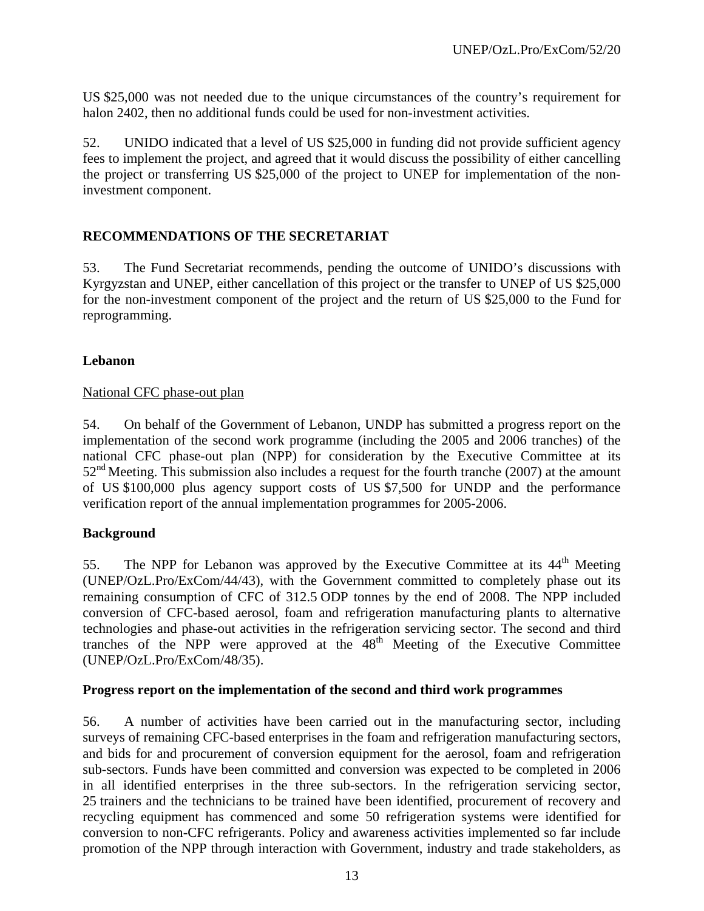US \$25,000 was not needed due to the unique circumstances of the country's requirement for halon 2402, then no additional funds could be used for non-investment activities.

52. UNIDO indicated that a level of US \$25,000 in funding did not provide sufficient agency fees to implement the project, and agreed that it would discuss the possibility of either cancelling the project or transferring US \$25,000 of the project to UNEP for implementation of the noninvestment component.

#### **RECOMMENDATIONS OF THE SECRETARIAT**

53. The Fund Secretariat recommends, pending the outcome of UNIDO's discussions with Kyrgyzstan and UNEP, either cancellation of this project or the transfer to UNEP of US \$25,000 for the non-investment component of the project and the return of US \$25,000 to the Fund for reprogramming.

#### **Lebanon**

#### National CFC phase-out plan

54. On behalf of the Government of Lebanon, UNDP has submitted a progress report on the implementation of the second work programme (including the 2005 and 2006 tranches) of the national CFC phase-out plan (NPP) for consideration by the Executive Committee at its  $52<sup>nd</sup>$  Meeting. This submission also includes a request for the fourth tranche (2007) at the amount of US \$100,000 plus agency support costs of US \$7,500 for UNDP and the performance verification report of the annual implementation programmes for 2005-2006.

## **Background**

55. The NPP for Lebanon was approved by the Executive Committee at its 44<sup>th</sup> Meeting (UNEP/OzL.Pro/ExCom/44/43), with the Government committed to completely phase out its remaining consumption of CFC of 312.5 ODP tonnes by the end of 2008. The NPP included conversion of CFC-based aerosol, foam and refrigeration manufacturing plants to alternative technologies and phase-out activities in the refrigeration servicing sector. The second and third tranches of the NPP were approved at the  $48<sup>th</sup>$  Meeting of the Executive Committee (UNEP/OzL.Pro/ExCom/48/35).

#### **Progress report on the implementation of the second and third work programmes**

56. A number of activities have been carried out in the manufacturing sector, including surveys of remaining CFC-based enterprises in the foam and refrigeration manufacturing sectors, and bids for and procurement of conversion equipment for the aerosol, foam and refrigeration sub-sectors. Funds have been committed and conversion was expected to be completed in 2006 in all identified enterprises in the three sub-sectors. In the refrigeration servicing sector, 25 trainers and the technicians to be trained have been identified, procurement of recovery and recycling equipment has commenced and some 50 refrigeration systems were identified for conversion to non-CFC refrigerants. Policy and awareness activities implemented so far include promotion of the NPP through interaction with Government, industry and trade stakeholders, as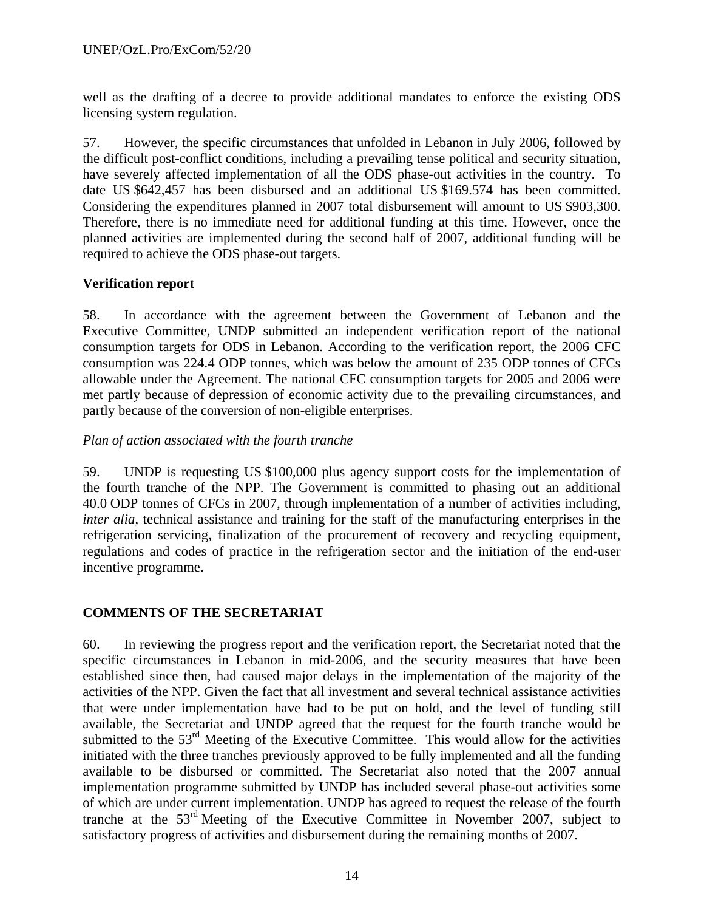well as the drafting of a decree to provide additional mandates to enforce the existing ODS licensing system regulation.

57. However, the specific circumstances that unfolded in Lebanon in July 2006, followed by the difficult post-conflict conditions, including a prevailing tense political and security situation, have severely affected implementation of all the ODS phase-out activities in the country. To date US \$642,457 has been disbursed and an additional US \$169.574 has been committed. Considering the expenditures planned in 2007 total disbursement will amount to US \$903,300. Therefore, there is no immediate need for additional funding at this time. However, once the planned activities are implemented during the second half of 2007, additional funding will be required to achieve the ODS phase-out targets.

## **Verification report**

58. In accordance with the agreement between the Government of Lebanon and the Executive Committee, UNDP submitted an independent verification report of the national consumption targets for ODS in Lebanon. According to the verification report, the 2006 CFC consumption was 224.4 ODP tonnes, which was below the amount of 235 ODP tonnes of CFCs allowable under the Agreement. The national CFC consumption targets for 2005 and 2006 were met partly because of depression of economic activity due to the prevailing circumstances, and partly because of the conversion of non-eligible enterprises.

#### *Plan of action associated with the fourth tranche*

59. UNDP is requesting US \$100,000 plus agency support costs for the implementation of the fourth tranche of the NPP. The Government is committed to phasing out an additional 40.0 ODP tonnes of CFCs in 2007, through implementation of a number of activities including, *inter alia*, technical assistance and training for the staff of the manufacturing enterprises in the refrigeration servicing, finalization of the procurement of recovery and recycling equipment, regulations and codes of practice in the refrigeration sector and the initiation of the end-user incentive programme.

## **COMMENTS OF THE SECRETARIAT**

60. In reviewing the progress report and the verification report, the Secretariat noted that the specific circumstances in Lebanon in mid-2006, and the security measures that have been established since then, had caused major delays in the implementation of the majority of the activities of the NPP. Given the fact that all investment and several technical assistance activities that were under implementation have had to be put on hold, and the level of funding still available, the Secretariat and UNDP agreed that the request for the fourth tranche would be submitted to the 53<sup>rd</sup> Meeting of the Executive Committee. This would allow for the activities initiated with the three tranches previously approved to be fully implemented and all the funding available to be disbursed or committed. The Secretariat also noted that the 2007 annual implementation programme submitted by UNDP has included several phase-out activities some of which are under current implementation. UNDP has agreed to request the release of the fourth tranche at the  $53<sup>rd</sup>$  Meeting of the Executive Committee in November 2007, subject to satisfactory progress of activities and disbursement during the remaining months of 2007.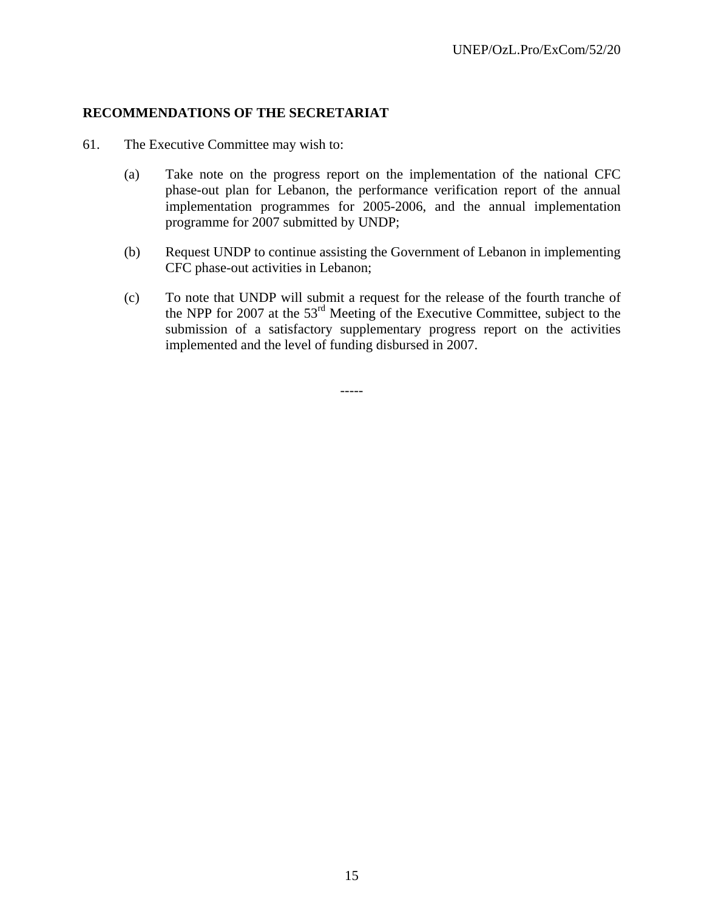#### **RECOMMENDATIONS OF THE SECRETARIAT**

- 61. The Executive Committee may wish to:
	- (a) Take note on the progress report on the implementation of the national CFC phase-out plan for Lebanon, the performance verification report of the annual implementation programmes for 2005-2006, and the annual implementation programme for 2007 submitted by UNDP;
	- (b) Request UNDP to continue assisting the Government of Lebanon in implementing CFC phase-out activities in Lebanon;
	- (c) To note that UNDP will submit a request for the release of the fourth tranche of the NPP for 2007 at the 53rd Meeting of the Executive Committee, subject to the submission of a satisfactory supplementary progress report on the activities implemented and the level of funding disbursed in 2007.

-----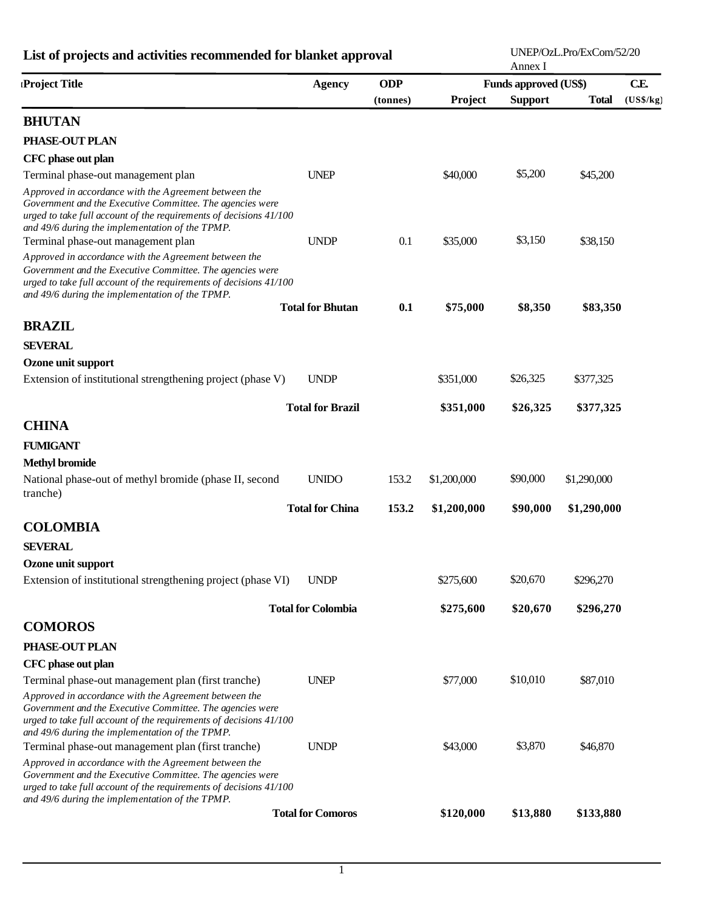| List of projects and activities recommended for blanket approval                                                                                                                                                                                                                  |                           |            |             | UNEP/OzL.Pro/ExCom/52/20<br>Annex I |              |           |  |  |
|-----------------------------------------------------------------------------------------------------------------------------------------------------------------------------------------------------------------------------------------------------------------------------------|---------------------------|------------|-------------|-------------------------------------|--------------|-----------|--|--|
| Project Title                                                                                                                                                                                                                                                                     | <b>Agency</b>             | <b>ODP</b> |             | <b>Funds approved (US\$)</b>        |              | CE        |  |  |
|                                                                                                                                                                                                                                                                                   |                           | (tonnes)   | Project     | <b>Support</b>                      | <b>Total</b> | (US\$/kg) |  |  |
| <b>BHUTAN</b>                                                                                                                                                                                                                                                                     |                           |            |             |                                     |              |           |  |  |
| PHASE-OUT PLAN                                                                                                                                                                                                                                                                    |                           |            |             |                                     |              |           |  |  |
| CFC phase out plan                                                                                                                                                                                                                                                                |                           |            |             |                                     |              |           |  |  |
| Terminal phase-out management plan                                                                                                                                                                                                                                                | <b>UNEP</b>               |            | \$40,000    | \$5,200                             | \$45,200     |           |  |  |
| Approved in accordance with the Agreement between the<br>Government and the Executive Committee. The agencies were<br>urged to take full account of the requirements of decisions 41/100<br>and 49/6 during the implementation of the TPMP.<br>Terminal phase-out management plan | <b>UNDP</b>               | 0.1        | \$35,000    | \$3,150                             | \$38,150     |           |  |  |
| Approved in accordance with the Agreement between the<br>Government and the Executive Committee. The agencies were<br>urged to take full account of the requirements of decisions 41/100<br>and 49/6 during the implementation of the TPMP.                                       |                           |            |             |                                     |              |           |  |  |
|                                                                                                                                                                                                                                                                                   | <b>Total for Bhutan</b>   | 0.1        | \$75,000    | \$8,350                             | \$83,350     |           |  |  |
| <b>BRAZIL</b>                                                                                                                                                                                                                                                                     |                           |            |             |                                     |              |           |  |  |
| <b>SEVERAL</b>                                                                                                                                                                                                                                                                    |                           |            |             |                                     |              |           |  |  |
| Ozone unit support                                                                                                                                                                                                                                                                |                           |            |             |                                     |              |           |  |  |
| Extension of institutional strengthening project (phase V)                                                                                                                                                                                                                        | <b>UNDP</b>               |            | \$351,000   | \$26,325                            | \$377,325    |           |  |  |
|                                                                                                                                                                                                                                                                                   | <b>Total for Brazil</b>   |            | \$351,000   | \$26,325                            | \$377,325    |           |  |  |
| <b>CHINA</b>                                                                                                                                                                                                                                                                      |                           |            |             |                                     |              |           |  |  |
| <b>FUMIGANT</b>                                                                                                                                                                                                                                                                   |                           |            |             |                                     |              |           |  |  |
| <b>Methyl bromide</b>                                                                                                                                                                                                                                                             |                           |            |             |                                     |              |           |  |  |
| National phase-out of methyl bromide (phase II, second<br>tranche)                                                                                                                                                                                                                | <b>UNIDO</b>              | 153.2      | \$1,200,000 | \$90,000                            | \$1,290,000  |           |  |  |
|                                                                                                                                                                                                                                                                                   | <b>Total for China</b>    | 153.2      | \$1,200,000 | \$90,000                            | \$1,290,000  |           |  |  |
| <b>COLOMBIA</b>                                                                                                                                                                                                                                                                   |                           |            |             |                                     |              |           |  |  |
| <b>SEVERAL</b>                                                                                                                                                                                                                                                                    |                           |            |             |                                     |              |           |  |  |
| Ozone unit support                                                                                                                                                                                                                                                                |                           |            |             |                                     |              |           |  |  |
| Extension of institutional strengthening project (phase VI)                                                                                                                                                                                                                       | <b>UNDP</b>               |            | \$275,600   | \$20,670                            | \$296,270    |           |  |  |
|                                                                                                                                                                                                                                                                                   | <b>Total for Colombia</b> |            | \$275,600   | \$20,670                            | \$296,270    |           |  |  |
| <b>COMOROS</b>                                                                                                                                                                                                                                                                    |                           |            |             |                                     |              |           |  |  |
| PHASE-OUT PLAN                                                                                                                                                                                                                                                                    |                           |            |             |                                     |              |           |  |  |
| CFC phase out plan                                                                                                                                                                                                                                                                |                           |            |             |                                     |              |           |  |  |
| Terminal phase-out management plan (first tranche)                                                                                                                                                                                                                                | <b>UNEP</b>               |            | \$77,000    | \$10,010                            | \$87,010     |           |  |  |
| Approved in accordance with the Agreement between the<br>Government and the Executive Committee. The agencies were<br>urged to take full account of the requirements of decisions 41/100<br>and 49/6 during the implementation of the TPMP.                                       |                           |            |             |                                     |              |           |  |  |
| Terminal phase-out management plan (first tranche)                                                                                                                                                                                                                                | <b>UNDP</b>               |            | \$43,000    | \$3,870                             | \$46,870     |           |  |  |
| Approved in accordance with the Agreement between the<br>Government and the Executive Committee. The agencies were<br>urged to take full account of the requirements of decisions 41/100<br>and 49/6 during the implementation of the TPMP.                                       |                           |            |             |                                     |              |           |  |  |
|                                                                                                                                                                                                                                                                                   | <b>Total for Comoros</b>  |            | \$120,000   | \$13,880                            | \$133,880    |           |  |  |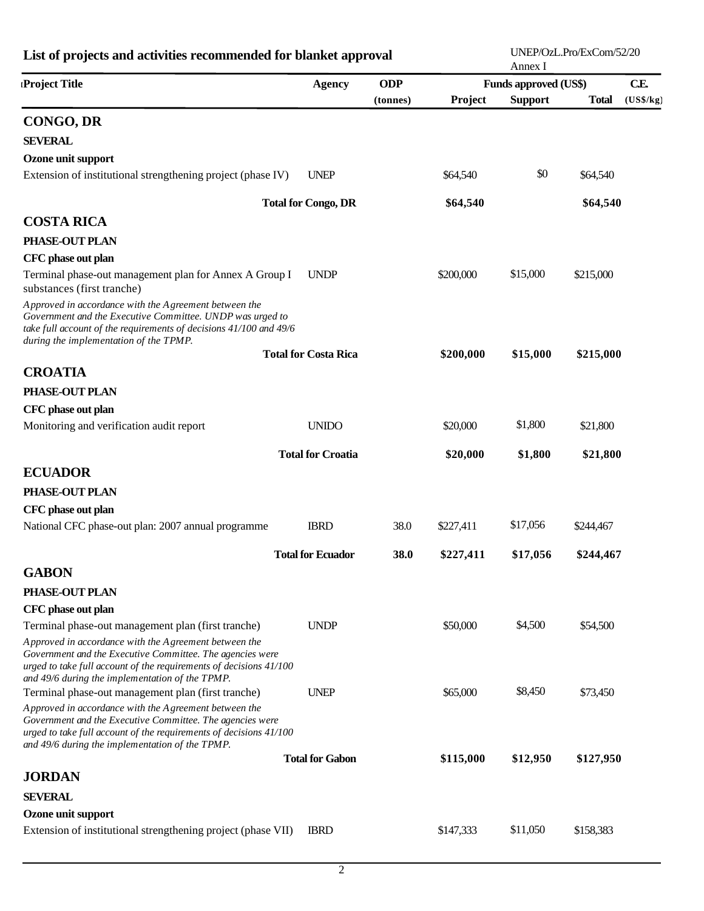| List of projects and activities recommended for blanket approval                                                                                                                                                                            |                             |            |           | Annex I                      | UNEP/OzL.Pro/ExCom/52/20 |           |
|---------------------------------------------------------------------------------------------------------------------------------------------------------------------------------------------------------------------------------------------|-----------------------------|------------|-----------|------------------------------|--------------------------|-----------|
| Project Title                                                                                                                                                                                                                               | <b>Agency</b>               | <b>ODP</b> |           | <b>Funds approved (US\$)</b> |                          | CE.       |
|                                                                                                                                                                                                                                             |                             | (tonnes)   | Project   | <b>Support</b>               | <b>Total</b>             | (US\$/kg) |
| <b>CONGO, DR</b>                                                                                                                                                                                                                            |                             |            |           |                              |                          |           |
| <b>SEVERAL</b>                                                                                                                                                                                                                              |                             |            |           |                              |                          |           |
| Ozone unit support                                                                                                                                                                                                                          |                             |            |           |                              |                          |           |
| Extension of institutional strengthening project (phase IV)                                                                                                                                                                                 | <b>UNEP</b>                 |            | \$64,540  | \$0                          | \$64,540                 |           |
|                                                                                                                                                                                                                                             | <b>Total for Congo, DR</b>  |            | \$64,540  |                              | \$64,540                 |           |
| <b>COSTA RICA</b>                                                                                                                                                                                                                           |                             |            |           |                              |                          |           |
| PHASE-OUT PLAN                                                                                                                                                                                                                              |                             |            |           |                              |                          |           |
| CFC phase out plan                                                                                                                                                                                                                          |                             |            |           |                              |                          |           |
| Terminal phase-out management plan for Annex A Group I<br>substances (first tranche)                                                                                                                                                        | <b>UNDP</b>                 |            | \$200,000 | \$15,000                     | \$215,000                |           |
| Approved in accordance with the Agreement between the<br>Government and the Executive Committee. UNDP was urged to<br>take full account of the requirements of decisions 41/100 and 49/6<br>during the implementation of the TPMP.          |                             |            |           |                              |                          |           |
|                                                                                                                                                                                                                                             | <b>Total for Costa Rica</b> |            | \$200,000 | \$15,000                     | \$215,000                |           |
| <b>CROATIA</b>                                                                                                                                                                                                                              |                             |            |           |                              |                          |           |
| PHASE-OUT PLAN                                                                                                                                                                                                                              |                             |            |           |                              |                          |           |
| CFC phase out plan                                                                                                                                                                                                                          |                             |            |           |                              |                          |           |
| Monitoring and verification audit report                                                                                                                                                                                                    | <b>UNIDO</b>                |            | \$20,000  | \$1,800                      | \$21,800                 |           |
|                                                                                                                                                                                                                                             | <b>Total for Croatia</b>    |            | \$20,000  | \$1,800                      | \$21,800                 |           |
| <b>ECUADOR</b>                                                                                                                                                                                                                              |                             |            |           |                              |                          |           |
| PHASE-OUT PLAN                                                                                                                                                                                                                              |                             |            |           |                              |                          |           |
| CFC phase out plan                                                                                                                                                                                                                          |                             |            |           |                              |                          |           |
| National CFC phase-out plan: 2007 annual programme                                                                                                                                                                                          | <b>IBRD</b>                 | 38.0       | \$227,411 | \$17,056                     | \$244,467                |           |
|                                                                                                                                                                                                                                             | <b>Total for Ecuador</b>    | 38.0       | \$227,411 | \$17,056                     | \$244,467                |           |
| <b>GABON</b>                                                                                                                                                                                                                                |                             |            |           |                              |                          |           |
| PHASE-OUT PLAN                                                                                                                                                                                                                              |                             |            |           |                              |                          |           |
| CFC phase out plan                                                                                                                                                                                                                          |                             |            |           |                              |                          |           |
| Terminal phase-out management plan (first tranche)                                                                                                                                                                                          | <b>UNDP</b>                 |            | \$50,000  | \$4,500                      | \$54,500                 |           |
| Approved in accordance with the Agreement between the<br>Government and the Executive Committee. The agencies were<br>urged to take full account of the requirements of decisions 41/100<br>and 49/6 during the implementation of the TPMP. |                             |            |           |                              |                          |           |
| Terminal phase-out management plan (first tranche)                                                                                                                                                                                          | <b>UNEP</b>                 |            | \$65,000  | \$8,450                      | \$73,450                 |           |
| Approved in accordance with the Agreement between the<br>Government and the Executive Committee. The agencies were<br>urged to take full account of the requirements of decisions 41/100<br>and 49/6 during the implementation of the TPMP. |                             |            |           |                              |                          |           |
|                                                                                                                                                                                                                                             | <b>Total for Gabon</b>      |            | \$115,000 | \$12,950                     | \$127,950                |           |
| <b>JORDAN</b>                                                                                                                                                                                                                               |                             |            |           |                              |                          |           |
| <b>SEVERAL</b>                                                                                                                                                                                                                              |                             |            |           |                              |                          |           |
| Ozone unit support                                                                                                                                                                                                                          |                             |            |           |                              |                          |           |
| Extension of institutional strengthening project (phase VII)                                                                                                                                                                                | <b>IBRD</b>                 |            | \$147,333 | \$11,050                     | \$158,383                |           |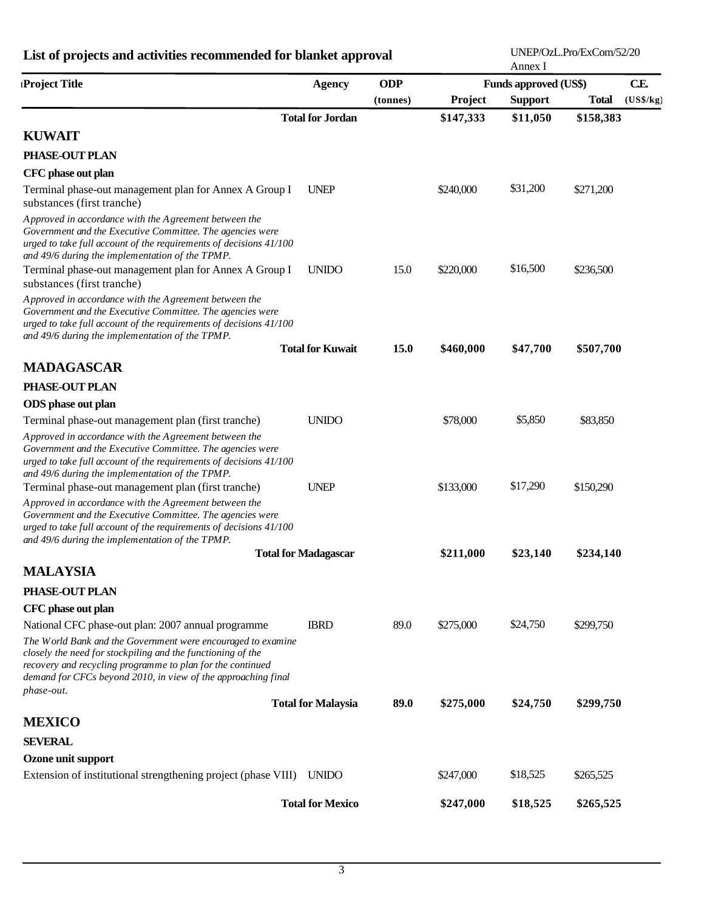| List of projects and activities recommended for blanket approval                                                                                                                                                                                                         |                             |             |           | UNEP/OzL.Pro/ExCom/52/20<br>Annex I |              |           |  |  |
|--------------------------------------------------------------------------------------------------------------------------------------------------------------------------------------------------------------------------------------------------------------------------|-----------------------------|-------------|-----------|-------------------------------------|--------------|-----------|--|--|
| Project Title                                                                                                                                                                                                                                                            | <b>Agency</b>               | <b>ODP</b>  |           | <b>Funds approved (US\$)</b>        |              | CE        |  |  |
|                                                                                                                                                                                                                                                                          |                             | (tonnes)    | Project   | <b>Support</b>                      | <b>Total</b> | (US\$/kg) |  |  |
|                                                                                                                                                                                                                                                                          | <b>Total for Jordan</b>     |             | \$147,333 | \$11,050                            | \$158,383    |           |  |  |
| <b>KUWAIT</b>                                                                                                                                                                                                                                                            |                             |             |           |                                     |              |           |  |  |
| PHASE-OUT PLAN                                                                                                                                                                                                                                                           |                             |             |           |                                     |              |           |  |  |
| CFC phase out plan                                                                                                                                                                                                                                                       |                             |             |           |                                     |              |           |  |  |
| Terminal phase-out management plan for Annex A Group I<br>substances (first tranche)                                                                                                                                                                                     | <b>UNEP</b>                 |             | \$240,000 | \$31,200                            | \$271,200    |           |  |  |
| Approved in accordance with the Agreement between the<br>Government and the Executive Committee. The agencies were<br>urged to take full account of the requirements of decisions 41/100<br>and 49/6 during the implementation of the TPMP.                              |                             |             |           |                                     |              |           |  |  |
| Terminal phase-out management plan for Annex A Group I<br>substances (first tranche)                                                                                                                                                                                     | <b>UNIDO</b>                | 15.0        | \$220,000 | \$16,500                            | \$236,500    |           |  |  |
| Approved in accordance with the Agreement between the<br>Government and the Executive Committee. The agencies were<br>urged to take full account of the requirements of decisions 41/100                                                                                 |                             |             |           |                                     |              |           |  |  |
| and 49/6 during the implementation of the TPMP.                                                                                                                                                                                                                          | <b>Total for Kuwait</b>     | <b>15.0</b> | \$460,000 | \$47,700                            | \$507,700    |           |  |  |
| <b>MADAGASCAR</b>                                                                                                                                                                                                                                                        |                             |             |           |                                     |              |           |  |  |
| PHASE-OUT PLAN                                                                                                                                                                                                                                                           |                             |             |           |                                     |              |           |  |  |
| ODS phase out plan                                                                                                                                                                                                                                                       |                             |             |           |                                     |              |           |  |  |
| Terminal phase-out management plan (first tranche)                                                                                                                                                                                                                       | <b>UNIDO</b>                |             | \$78,000  | \$5,850                             | \$83,850     |           |  |  |
| Approved in accordance with the Agreement between the<br>Government and the Executive Committee. The agencies were<br>urged to take full account of the requirements of decisions 41/100<br>and 49/6 during the implementation of the TPMP.                              |                             |             |           |                                     |              |           |  |  |
| Terminal phase-out management plan (first tranche)                                                                                                                                                                                                                       | <b>UNEP</b>                 |             | \$133,000 | \$17,290                            | \$150,290    |           |  |  |
| Approved in accordance with the Agreement between the<br>Government and the Executive Committee. The agencies were<br>urged to take full account of the requirements of decisions 41/100<br>and 49/6 during the implementation of the TPMP.                              |                             |             |           |                                     |              |           |  |  |
|                                                                                                                                                                                                                                                                          | <b>Total for Madagascar</b> |             | \$211,000 | \$23,140                            | \$234,140    |           |  |  |
| <b>MALAYSIA</b>                                                                                                                                                                                                                                                          |                             |             |           |                                     |              |           |  |  |
| PHASE-OUT PLAN                                                                                                                                                                                                                                                           |                             |             |           |                                     |              |           |  |  |
| CFC phase out plan                                                                                                                                                                                                                                                       |                             |             |           |                                     |              |           |  |  |
| National CFC phase-out plan: 2007 annual programme                                                                                                                                                                                                                       | <b>IBRD</b>                 | 89.0        | \$275,000 | \$24,750                            | \$299,750    |           |  |  |
| The World Bank and the Government were encouraged to examine<br>closely the need for stockpiling and the functioning of the<br>recovery and recycling programme to plan for the continued<br>demand for CFCs beyond 2010, in view of the approaching final<br>phase-out. |                             |             |           |                                     |              |           |  |  |
|                                                                                                                                                                                                                                                                          | <b>Total for Malaysia</b>   | 89.0        | \$275,000 | \$24,750                            | \$299,750    |           |  |  |
| <b>MEXICO</b>                                                                                                                                                                                                                                                            |                             |             |           |                                     |              |           |  |  |
| <b>SEVERAL</b>                                                                                                                                                                                                                                                           |                             |             |           |                                     |              |           |  |  |
| Ozone unit support                                                                                                                                                                                                                                                       |                             |             |           |                                     |              |           |  |  |
| Extension of institutional strengthening project (phase VIII) UNIDO                                                                                                                                                                                                      |                             |             | \$247,000 | \$18,525                            | \$265,525    |           |  |  |
|                                                                                                                                                                                                                                                                          | <b>Total for Mexico</b>     |             | \$247,000 | \$18,525                            | \$265,525    |           |  |  |
|                                                                                                                                                                                                                                                                          |                             |             |           |                                     |              |           |  |  |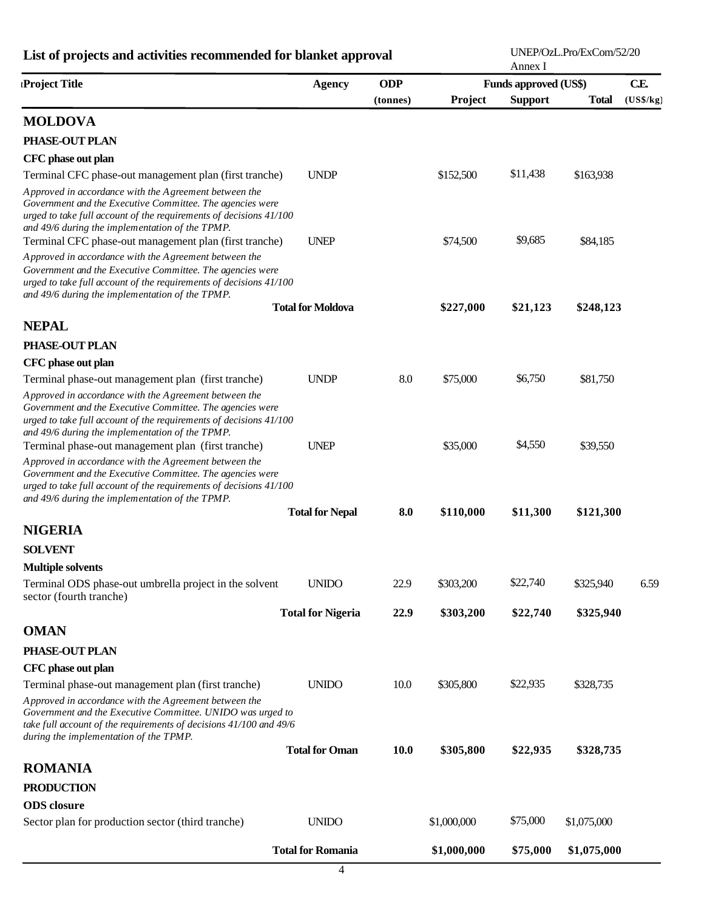| List of projects and activities recommended for blanket approval                                                                                                                                                                            |                          |            |             | Annex I                      | UNEP/OzL.Pro/ExCom/52/20 |           |
|---------------------------------------------------------------------------------------------------------------------------------------------------------------------------------------------------------------------------------------------|--------------------------|------------|-------------|------------------------------|--------------------------|-----------|
| Project Title                                                                                                                                                                                                                               | <b>Agency</b>            | <b>ODP</b> |             | <b>Funds approved (US\$)</b> |                          | CE        |
|                                                                                                                                                                                                                                             |                          | (tonnes)   | Project     | <b>Support</b>               | <b>Total</b>             | (US\$/kg) |
| <b>MOLDOVA</b>                                                                                                                                                                                                                              |                          |            |             |                              |                          |           |
| PHASE-OUT PLAN                                                                                                                                                                                                                              |                          |            |             |                              |                          |           |
| CFC phase out plan                                                                                                                                                                                                                          |                          |            |             |                              |                          |           |
| Terminal CFC phase-out management plan (first tranche)                                                                                                                                                                                      | <b>UNDP</b>              |            | \$152,500   | \$11,438                     | \$163,938                |           |
| Approved in accordance with the Agreement between the<br>Government and the Executive Committee. The agencies were<br>urged to take full account of the requirements of decisions 41/100<br>and 49/6 during the implementation of the TPMP. |                          |            |             |                              |                          |           |
| Terminal CFC phase-out management plan (first tranche)                                                                                                                                                                                      | <b>UNEP</b>              |            | \$74,500    | \$9,685                      | \$84,185                 |           |
| Approved in accordance with the Agreement between the<br>Government and the Executive Committee. The agencies were<br>urged to take full account of the requirements of decisions 41/100<br>and 49/6 during the implementation of the TPMP. |                          |            |             |                              |                          |           |
|                                                                                                                                                                                                                                             | <b>Total for Moldova</b> |            | \$227,000   | \$21,123                     | \$248,123                |           |
| <b>NEPAL</b>                                                                                                                                                                                                                                |                          |            |             |                              |                          |           |
| PHASE-OUT PLAN                                                                                                                                                                                                                              |                          |            |             |                              |                          |           |
| CFC phase out plan                                                                                                                                                                                                                          |                          |            |             |                              |                          |           |
| Terminal phase-out management plan (first tranche)                                                                                                                                                                                          | <b>UNDP</b>              | 8.0        | \$75,000    | \$6,750                      | \$81,750                 |           |
| Approved in accordance with the Agreement between the<br>Government and the Executive Committee. The agencies were<br>urged to take full account of the requirements of decisions 41/100<br>and 49/6 during the implementation of the TPMP. |                          |            |             |                              |                          |           |
| Terminal phase-out management plan (first tranche)                                                                                                                                                                                          | <b>UNEP</b>              |            | \$35,000    | \$4,550                      | \$39,550                 |           |
| Approved in accordance with the Agreement between the<br>Government and the Executive Committee. The agencies were<br>urged to take full account of the requirements of decisions 41/100<br>and 49/6 during the implementation of the TPMP. |                          |            |             |                              |                          |           |
|                                                                                                                                                                                                                                             | <b>Total for Nepal</b>   | 8.0        | \$110,000   | \$11,300                     | \$121,300                |           |
| <b>NIGERIA</b>                                                                                                                                                                                                                              |                          |            |             |                              |                          |           |
| <b>SOLVENT</b>                                                                                                                                                                                                                              |                          |            |             |                              |                          |           |
| <b>Multiple solvents</b>                                                                                                                                                                                                                    |                          |            |             |                              |                          |           |
| Terminal ODS phase-out umbrella project in the solvent<br>sector (fourth tranche)                                                                                                                                                           | <b>UNIDO</b>             | 22.9       | \$303,200   | \$22,740                     | \$325,940                | 6.59      |
|                                                                                                                                                                                                                                             | <b>Total for Nigeria</b> | 22.9       | \$303,200   | \$22,740                     | \$325,940                |           |
| <b>OMAN</b>                                                                                                                                                                                                                                 |                          |            |             |                              |                          |           |
| PHASE-OUT PLAN                                                                                                                                                                                                                              |                          |            |             |                              |                          |           |
| CFC phase out plan                                                                                                                                                                                                                          |                          |            |             |                              |                          |           |
| Terminal phase-out management plan (first tranche)                                                                                                                                                                                          | <b>UNIDO</b>             | 10.0       | \$305,800   | \$22,935                     | \$328,735                |           |
| Approved in accordance with the Agreement between the<br>Government and the Executive Committee. UNIDO was urged to<br>take full account of the requirements of decisions 41/100 and 49/6<br>during the implementation of the TPMP.         |                          |            |             |                              |                          |           |
|                                                                                                                                                                                                                                             | <b>Total for Oman</b>    | 10.0       | \$305,800   | \$22,935                     | \$328,735                |           |
| <b>ROMANIA</b>                                                                                                                                                                                                                              |                          |            |             |                              |                          |           |
| <b>PRODUCTION</b>                                                                                                                                                                                                                           |                          |            |             |                              |                          |           |
| <b>ODS</b> closure                                                                                                                                                                                                                          |                          |            |             |                              |                          |           |
| Sector plan for production sector (third tranche)                                                                                                                                                                                           | <b>UNIDO</b>             |            | \$1,000,000 | \$75,000                     | \$1,075,000              |           |
|                                                                                                                                                                                                                                             | <b>Total for Romania</b> |            | \$1,000,000 | \$75,000                     | \$1,075,000              |           |

UNEP/OzL.Pro/ExCom/52/20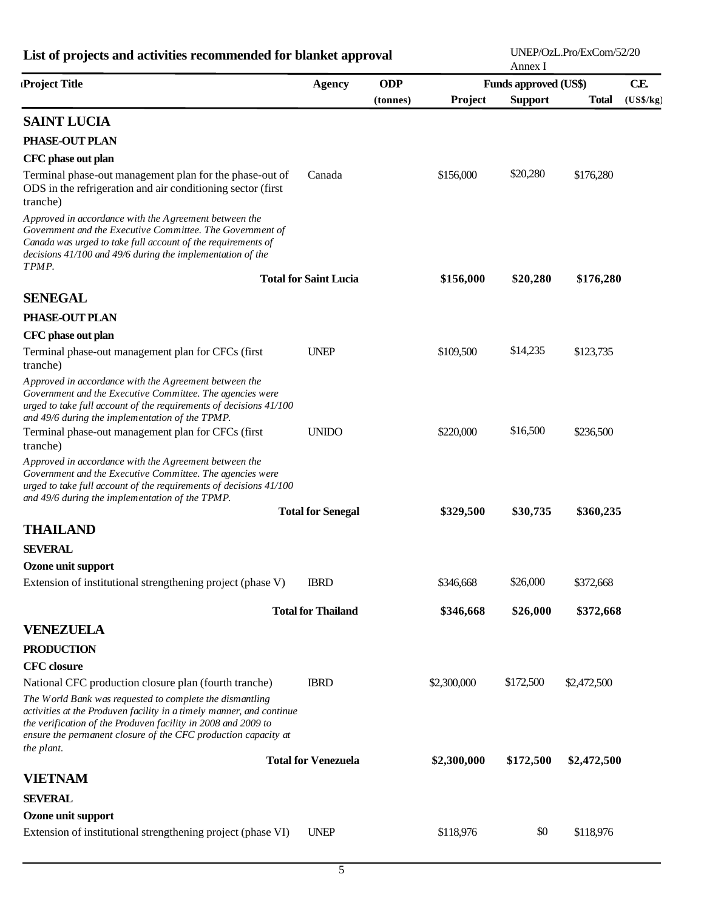| List of projects and activities recommended for blanket approval                                                                                                                                                                                                                  |                              |            |             | Annex I                      | UNEP/OzL.Pro/ExCom/52/20 |           |
|-----------------------------------------------------------------------------------------------------------------------------------------------------------------------------------------------------------------------------------------------------------------------------------|------------------------------|------------|-------------|------------------------------|--------------------------|-----------|
| Project Title                                                                                                                                                                                                                                                                     | <b>Agency</b>                | <b>ODP</b> |             | <b>Funds approved (US\$)</b> |                          | CE        |
| <b>SAINT LUCIA</b>                                                                                                                                                                                                                                                                |                              | (tonnes)   | Project     | <b>Support</b>               | <b>Total</b>             | (US\$/kg) |
|                                                                                                                                                                                                                                                                                   |                              |            |             |                              |                          |           |
| PHASE-OUT PLAN                                                                                                                                                                                                                                                                    |                              |            |             |                              |                          |           |
| CFC phase out plan                                                                                                                                                                                                                                                                | Canada                       |            |             | \$20,280                     |                          |           |
| Terminal phase-out management plan for the phase-out of<br>ODS in the refrigeration and air conditioning sector (first<br>tranche)                                                                                                                                                |                              |            | \$156,000   |                              | \$176,280                |           |
| Approved in accordance with the Agreement between the<br>Government and the Executive Committee. The Government of<br>Canada was urged to take full account of the requirements of<br>decisions 41/100 and 49/6 during the implementation of the<br>TPMP.                         |                              |            |             |                              |                          |           |
|                                                                                                                                                                                                                                                                                   | <b>Total for Saint Lucia</b> |            | \$156,000   | \$20,280                     | \$176,280                |           |
| <b>SENEGAL</b>                                                                                                                                                                                                                                                                    |                              |            |             |                              |                          |           |
| PHASE-OUT PLAN                                                                                                                                                                                                                                                                    |                              |            |             |                              |                          |           |
| CFC phase out plan                                                                                                                                                                                                                                                                |                              |            |             |                              |                          |           |
| Terminal phase-out management plan for CFCs (first<br>tranche)                                                                                                                                                                                                                    | <b>UNEP</b>                  |            | \$109,500   | \$14,235                     | \$123,735                |           |
| Approved in accordance with the Agreement between the<br>Government and the Executive Committee. The agencies were<br>urged to take full account of the requirements of decisions 41/100<br>and 49/6 during the implementation of the TPMP.                                       |                              |            |             |                              |                          |           |
| Terminal phase-out management plan for CFCs (first<br>tranche)                                                                                                                                                                                                                    | <b>UNIDO</b>                 |            | \$220,000   | \$16,500                     | \$236,500                |           |
| Approved in accordance with the Agreement between the<br>Government and the Executive Committee. The agencies were<br>urged to take full account of the requirements of decisions 41/100<br>and 49/6 during the implementation of the TPMP.                                       |                              |            |             |                              |                          |           |
|                                                                                                                                                                                                                                                                                   | <b>Total for Senegal</b>     |            | \$329,500   | \$30,735                     | \$360,235                |           |
| <b>THAILAND</b>                                                                                                                                                                                                                                                                   |                              |            |             |                              |                          |           |
| <b>SEVERAL</b>                                                                                                                                                                                                                                                                    |                              |            |             |                              |                          |           |
| Ozone unit support                                                                                                                                                                                                                                                                |                              |            |             |                              |                          |           |
| Extension of institutional strengthening project (phase V)                                                                                                                                                                                                                        | <b>IBRD</b>                  |            | \$346,668   | \$26,000                     | \$372,668                |           |
|                                                                                                                                                                                                                                                                                   | <b>Total for Thailand</b>    |            | \$346,668   | \$26,000                     | \$372,668                |           |
| <b>VENEZUELA</b>                                                                                                                                                                                                                                                                  |                              |            |             |                              |                          |           |
| <b>PRODUCTION</b>                                                                                                                                                                                                                                                                 |                              |            |             |                              |                          |           |
| <b>CFC</b> closure                                                                                                                                                                                                                                                                |                              |            |             |                              |                          |           |
| National CFC production closure plan (fourth tranche)                                                                                                                                                                                                                             | <b>IBRD</b>                  |            | \$2,300,000 | \$172,500                    | \$2,472,500              |           |
| The World Bank was requested to complete the dismantling<br>activities at the Produven facility in a timely manner, and continue<br>the verification of the Produven facility in 2008 and 2009 to<br>ensure the permanent closure of the CFC production capacity at<br>the plant. |                              |            |             |                              |                          |           |
|                                                                                                                                                                                                                                                                                   | <b>Total for Venezuela</b>   |            | \$2,300,000 | \$172,500                    | \$2,472,500              |           |
| <b>VIETNAM</b>                                                                                                                                                                                                                                                                    |                              |            |             |                              |                          |           |
| <b>SEVERAL</b>                                                                                                                                                                                                                                                                    |                              |            |             |                              |                          |           |
| Ozone unit support                                                                                                                                                                                                                                                                |                              |            |             |                              |                          |           |
| Extension of institutional strengthening project (phase VI)                                                                                                                                                                                                                       | <b>UNEP</b>                  |            | \$118,976   | \$0                          | \$118,976                |           |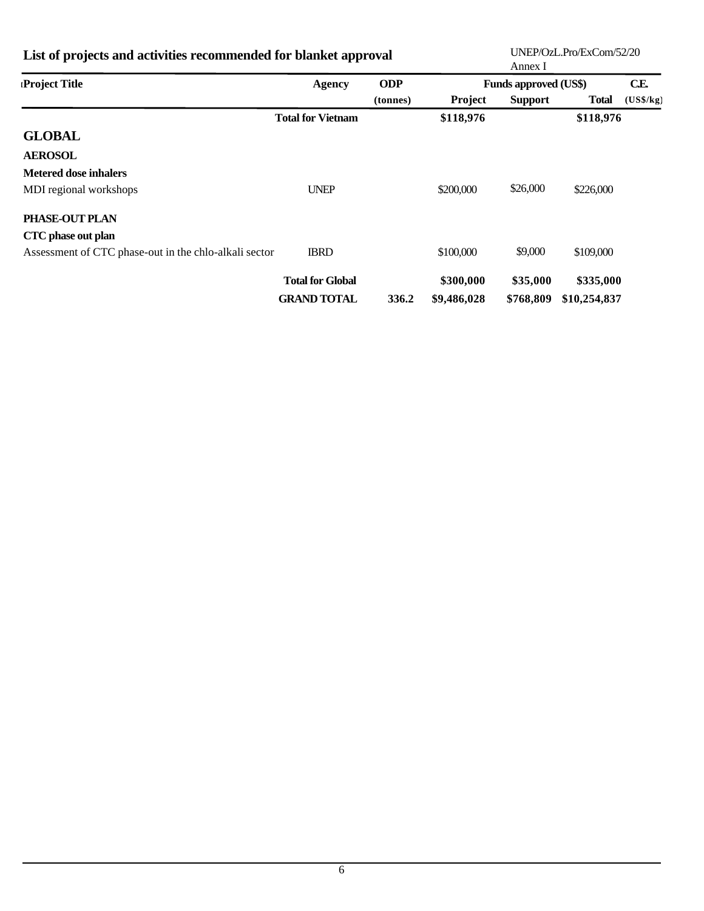| List of projects and activities recommended for blanket approval |                          |            | UNEP/OzL.Pro/ExCom/52/20<br>Annex I |                              |              |           |
|------------------------------------------------------------------|--------------------------|------------|-------------------------------------|------------------------------|--------------|-----------|
| Project Title                                                    | <b>Agency</b>            | <b>ODP</b> |                                     | <b>Funds approved (US\$)</b> |              | CE        |
|                                                                  |                          | (tonnes)   | <b>Project</b>                      | <b>Support</b>               | Total        | (US\$/kg) |
|                                                                  | <b>Total for Vietnam</b> |            | \$118,976                           |                              | \$118,976    |           |
| <b>GLOBAL</b>                                                    |                          |            |                                     |                              |              |           |
| <b>AEROSOL</b>                                                   |                          |            |                                     |                              |              |           |
| <b>Metered dose inhalers</b>                                     |                          |            |                                     |                              |              |           |
| MDI regional workshops                                           | <b>UNEP</b>              |            | \$200,000                           | \$26,000                     | \$226,000    |           |
| PHASE-OUT PLAN                                                   |                          |            |                                     |                              |              |           |
| CTC phase out plan                                               |                          |            |                                     |                              |              |           |
| Assessment of CTC phase-out in the chlo-alkali sector            | <b>IBRD</b>              |            | \$100,000                           | \$9,000                      | \$109,000    |           |
|                                                                  | <b>Total for Global</b>  |            | \$300,000                           | \$35,000                     | \$335,000    |           |
|                                                                  | <b>GRAND TOTAL</b>       | 336.2      | \$9,486,028                         | \$768,809                    | \$10,254,837 |           |